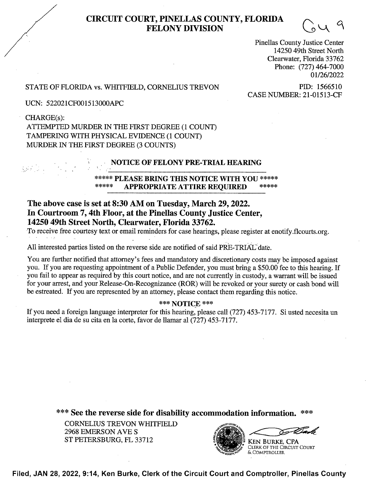# CIRCUIT COURT, PINELLAS COUNTY, FLORIDA FELONY DIVISION

Pinellas County Justice Center 14250 49th Street North Clearwater, Florida 33762 Phone: (727) 464-7000 01/26/2022

## STATE OF FLORIDA vs. WHITFIELD, CORNELIUS TREVON PID: 1566510<br>CASE NUMBER: 21-01513-CF

UCN: 522021CF0015 13000APC

1'"

 $\ddot{\phantom{1}}$ 

CHARGE(s): ATTEMPTED MURDER IN THE FIRST DEGREE (1 COUNT) TAMPERING WITH PHYSICAL EVIDENCE (1 COUNT) MURDER IN THE FIRST DEGREE (3 COUNTS)

#### NOTICE OF FELONY PRE-TRIAL HEARING

#### \*\*\*\*\* PLEASE BRING THIS NOTICE WITH YOU \*\*\*\*\* APPROPRIATE ATTIRE REQUIRED

### The above case is set at 8:30 AM 0n Tuesday, March 29, 2022. In Courtroom 7, 4th Floor, at the Pinellas County Justice Center, 14250 49th Street North, Clearwater, Florida 33762.

'To receive free courtesy text or email reminders for case hearings, please register at enotify.flcourts.org.

All interested parties listed on the reverse side are notified of said PRE-TRIAL date.

You are further notified that attorney's fees and mandatory and discretionary costs may be imposed against you. If you are requesting appointment of a Public Defender, you must bring a \$50.00 fee to this hearing. If you fail to appear as required by this court notice, and are not currently in custody, a warrant will be issued for your arrest, and your Release-On-Recognizance (ROR) will be revoked or your surety or cash bond will be estreated. If you are represented by an attorney, please contact them regarding this notice.

#### \*\*\* NOTICE \*\*\*

If you need a foreign language interpreter for this hearing, please call (727) 453-7177. Si usted necesita un interprete el dia de su cita en la corte, favor de llamar al (727) 453-7177.

\*\*\* See the reverse side for disability accommodation information.

CORNELIUS TREVON WHITFIELD 2968 EMERSON AVE S 2968 EMERSON AVE S<br>ST PETERSBURG, FL 33712



Filed, JAN 28, 2022, 9:14, Ken Burke, Clerk of the Circuit Court and Comptroller, Pinellas County